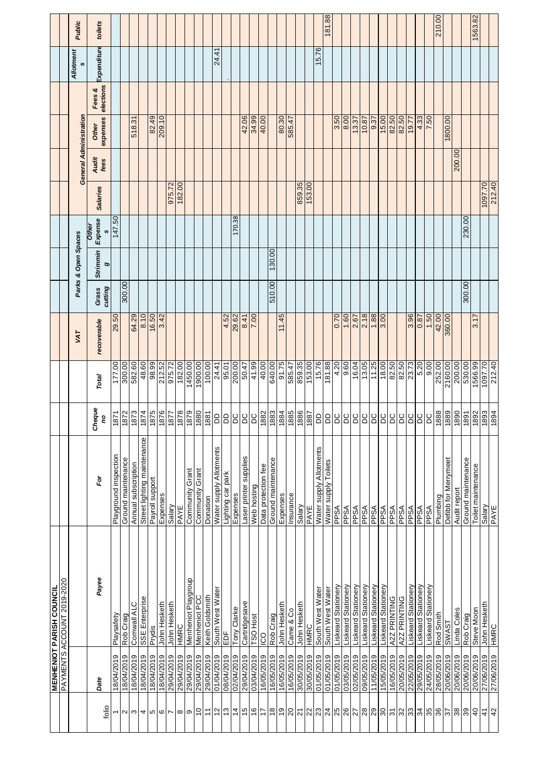| 15.76                                                                                                                                                                                                                               |
|-------------------------------------------------------------------------------------------------------------------------------------------------------------------------------------------------------------------------------------|
|                                                                                                                                                                                                                                     |
| 3.50                                                                                                                                                                                                                                |
|                                                                                                                                                                                                                                     |
| 153.00                                                                                                                                                                                                                              |
|                                                                                                                                                                                                                                     |
|                                                                                                                                                                                                                                     |
|                                                                                                                                                                                                                                     |
| 0.70<br>1.60                                                                                                                                                                                                                        |
| 859.35<br>153.00<br>15.76<br>181.88<br>4.20<br>9.60<br>16.04                                                                                                                                                                        |
| 1886<br>1887<br>qq<br><b>DC</b><br>DC<br>aa<br>DC                                                                                                                                                                                   |
| Water supply Allotments<br>Water supply Toilets<br>Salary<br>PPSA<br>PPSA<br>PPSA<br>PAYE                                                                                                                                           |
| Liskeard Stationery<br>Liskeard Stationery<br>Liskeard Stationery<br>South West Water<br>South West Water<br>John Hesketh<br>HMRC<br>30/05/2019<br>30/05/2019<br>01/05/2019<br>01/05/2019<br>01/05/2019<br>03/05/2019<br>02/05/2019 |
|                                                                                                                                                                                                                                     |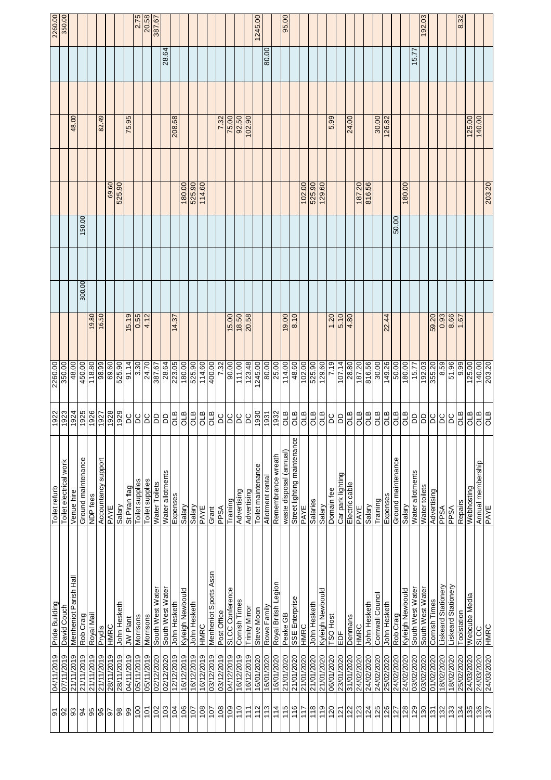| $\overline{5}$ | 04/11/2019 | Pride Building         | Toilet refurb               | 1922                 | 2260.00 |        |        |        |        |       | 2260.00       |
|----------------|------------|------------------------|-----------------------------|----------------------|---------|--------|--------|--------|--------|-------|---------------|
| 92             | 07/11/2019 | David Couch            | Toilet electrical work      | 1923                 | 350.00  |        |        |        |        |       | 350.00        |
| $\mathfrak{S}$ | 21/11/2019 | Menheniot Parish Hall  | Venue hire                  | 1924                 | 48.00   |        |        |        | 48.00  |       |               |
| 94             | 21/11/2019 | Rob Craig              | Ground maintenance          | 1925                 | 450.00  | 300.00 | 150.00 |        |        |       |               |
| 95             | 21/11/2019 | Royal Mail             | NDP fees                    | 1926                 | 118.80  | 19.80  |        |        |        |       |               |
| 96             | 21/11/2019 | Prydis                 | Accountancy support         | 1927                 | 98.99   | 16.50  |        |        | 82.49  |       |               |
| 50             | 28/11/2019 | HMRC                   | PAYE                        | 1928                 | 69.60   |        |        | 69.60  |        |       |               |
| $98$           | 28/11/2019 | John Hesketh           | Salary                      | 1929                 | 525.90  |        |        | 525.90 |        |       |               |
| 99             | 04/11/2019 | JW Plant               | St Piran flag               | DC                   | 91.14   | 15.19  |        |        | 75.95  |       |               |
| 100            | 05/11/2019 | Morrisons              | Toilet supplies             | $\frac{1}{2}$        | 3.30    | 0.55   |        |        |        |       | 2.75          |
| 101            | 05/11/2019 | Morrisons              | Toilet supplies             | <b>DC</b>            | 24.70   | 4.12   |        |        |        |       | 20.58         |
| 102            | 02/12/2020 | South West Water       | Water Toilets               |                      | 387.67  |        |        |        |        |       | <b>387.67</b> |
| 103            | 02/12/2020 | South West Water       | Water allotments            | B B                  | 28.64   |        |        |        |        | 28.64 |               |
| 104            | 12/12/2019 | John Hesketh           | Expenses                    | $rac{a}{c}$          | 223.05  | 14.37  |        |        | 208.68 |       |               |
| 106            | 16/12/2019 | Kyleigh Newbould       | Salary                      | <b>B</b>             | 180.00  |        |        | 180.00 |        |       |               |
| 107            | 16/12/2019 | John Hesketh           | Salary                      | <b>STO</b>           | 525.90  |        |        | 525.90 |        |       |               |
| 108            | 16/12/2019 | HMRC                   | PAYE                        | <b>STO</b>           | 114.60  |        |        | 114.60 |        |       |               |
| 107            | 03/12/2019 | Menheniot Sports Assn  | Grant                       | <b>STO</b>           | 400.00  |        |        |        |        |       |               |
| 108            | 03/12/2019 | Post Office            | PPSA                        | DC                   | 7.32    |        |        |        | 7.32   |       |               |
| 109            | 04/12/2019 | <b>SLCC Conference</b> | Training                    | DC                   | 90.00   | 15.00  |        |        | 75.00  |       |               |
| 110            | 16/12/2019 | Comish Times           | Advertising                 | <b>DC</b>            | 111.00  | 18.50  |        |        | 92.50  |       |               |
| 111            | 16/12/2019 | <b>Trinity Mirror</b>  | Advertising                 | $\overline{a}$       | 123.48  | 20.58  |        |        | 102.90 |       |               |
| 112            | 16/01/2020 | Steve Moon             | Toilet maintenance          |                      | 1245.00 |        |        |        |        |       | 1245.00       |
| 113            | 16/01/2020 | Rowe Family            | Allotment rental            | 1930<br>1931<br>1932 | 80.00   |        |        |        |        | 80.00 |               |
| 114            | 16/01/2020 | Royal British Legion   | Remembrance wreath          |                      | 25.00   |        |        |        |        |       |               |
| 115            | 21/01/2020 | Peake GB               | waste disposal (annual)     | <b>STO</b>           | 114.00  | 19.00  |        |        |        |       | 95.00         |
| 116            | 21/01/2020 | SSE Enterprise         | Street lighting maintenance | OLB                  | 48.60   | 8.10   |        |        |        |       |               |
| 117            | 21/01/2020 | HMRC                   | PAYE                        | OLB                  | 102.00  |        |        | 102.00 |        |       |               |
| 118            | 21/01/2020 | John Hesketh           | Salaries                    | OLB                  | 525.90  |        |        | 525.90 |        |       |               |
| 119            | 21/01/2020 | Kyleigh Newbould       | Salary                      | <b>B</b>             | 129.60  |        |        | 129.60 |        |       |               |
| 120            | 06/01/2020 | TSO Host               | Domain fee                  | <b>DC</b>            | 7.19    | 1.20   |        |        | 5.99   |       |               |
| 121            | 23/01/2020 | ĔΡ                     | Car park lighting           | $\overline{a}$       | 107.14  | 5.10   |        |        |        |       |               |
| 122            | 31/01/2020 | Denmans                | Electric cable              |                      | 28.80   | 4.80   |        |        | 24.00  |       |               |
| 123            | 24/02/2020 | HMRC                   | PAYE                        |                      | 187.20  |        |        | 187.20 |        |       |               |
| 124            | 24/02/2020 | John Hesketh           | Salary                      |                      | 816.56  |        |        | 816.56 |        |       |               |
| 125            | 24/02/2020 | Comwall Council        | Training                    |                      | 30.00   |        |        |        | 30.00  |       |               |
| 126            | 25/02/2020 | John Hesketh           | Expenses                    | <b>STO</b>           | 149.26  | 22.44  |        |        | 126.82 |       |               |
| 127            | 24/02/2020 | Rob Craig              | Ground maintenance          | $\frac{a}{b}$        | 50.00   |        | 50.00  |        |        |       |               |
| 128            | 24/02/2020 | Kyleigh Newbould       | Salary                      | <b>STD</b>           | 180.00  |        |        | 180.00 |        |       |               |
| 129            | 03/02/2020 | South West Water       | Water allotments            | $\overline{a}$       | 15.77   |        |        |        |        | 15.77 |               |
| 130            | 03/02/2020 | South West Water       | Water toilets               | $\overline{a}$       | 192.03  |        |        |        |        |       | 192.03        |
| 131            | 01/02/2020 | Comish Times           | Advertising                 | $\overline{a}$       | 355.20  | 59.20  |        |        |        |       |               |
| 132            | 18/02/2020 | Liskeard Stationery    | PPSA                        | <b>DC</b>            | 8.59    | 0.93   |        |        |        |       |               |
| 133            | 18/02/2020 | Liskeard Stationery    | <b>ASdd</b>                 |                      | 51.96   | 8.66   |        |        |        |       |               |
| 134            | 25/02/2020 | Toolstation            | Repairs                     | OLB                  | 9.99    | 1.67   |        |        |        |       | 8.32          |
| 135            | 24/03/2020 | Webcube Media          | Webhosting                  | $\frac{1}{2}$        | 125.00  |        |        |        | 125.00 |       |               |
| 136            | 24/03/2020 | <b>SLCC</b>            | Annual membership           | <b>OLB</b>           | 140.00  |        |        |        | 140.00 |       |               |
| 137            | 24/03/2020 | HMRC                   | PAYE                        | <b>GTB</b>           | 203.20  |        |        | 203.20 |        |       |               |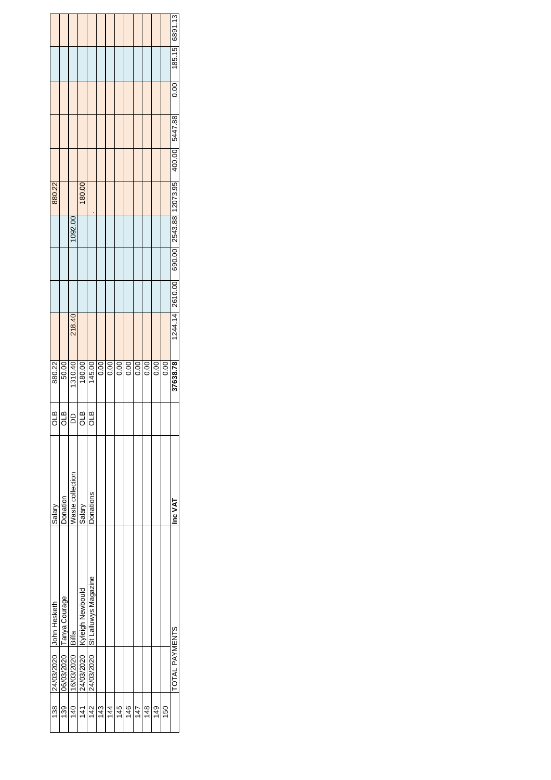|                           |                          |                  |                               |                                 |      |      |      |      |      |      |      |      | 0.00 185.15 6891.13                                    |
|---------------------------|--------------------------|------------------|-------------------------------|---------------------------------|------|------|------|------|------|------|------|------|--------------------------------------------------------|
|                           |                          |                  |                               |                                 |      |      |      |      |      |      |      |      |                                                        |
|                           |                          |                  |                               |                                 |      |      |      |      |      |      |      |      |                                                        |
|                           |                          |                  |                               |                                 |      |      |      |      |      |      |      |      |                                                        |
| 880.22                    |                          |                  | 180.00                        |                                 |      |      |      |      |      |      |      |      | 1244.14 2610.00 690.00 2543.88 12073.95 400.00 5447.88 |
|                           |                          | 1092.00          |                               |                                 |      |      |      |      |      |      |      |      |                                                        |
|                           |                          |                  |                               |                                 |      |      |      |      |      |      |      |      |                                                        |
|                           |                          |                  |                               |                                 |      |      |      |      |      |      |      |      |                                                        |
|                           |                          | 218.40           |                               |                                 |      |      |      |      |      |      |      |      |                                                        |
| 880.22                    | 50.00                    | 1310.40          | 180.00                        | 145.00                          | 0.00 | 0.00 | 0.00 | 0.00 | 0.00 | 0.00 | 0.00 | 0.00 | 37638.78                                               |
| aro                       | ۹T<br>O                  | ă                | ۹L<br>پ<br>O                  | ₫<br>O                          |      |      |      |      |      |      |      |      |                                                        |
| Salary                    | Donation                 | Waste collection | Salary                        | Donations                       |      |      |      |      |      |      |      |      | Inc VAT                                                |
| 24/03/2020   John Hesketh | 06/03/2020 Tanya Courage |                  | 24/03/2020   Kyleigh Newbould | 24/03/2020 St Lalluwys Magazine |      |      |      |      |      |      |      |      |                                                        |
|                           |                          | 16/03/2020 Biffa |                               |                                 |      |      |      |      |      |      |      |      | TOTAL PAYMENTS                                         |
|                           |                          |                  |                               |                                 |      |      |      |      |      |      |      |      |                                                        |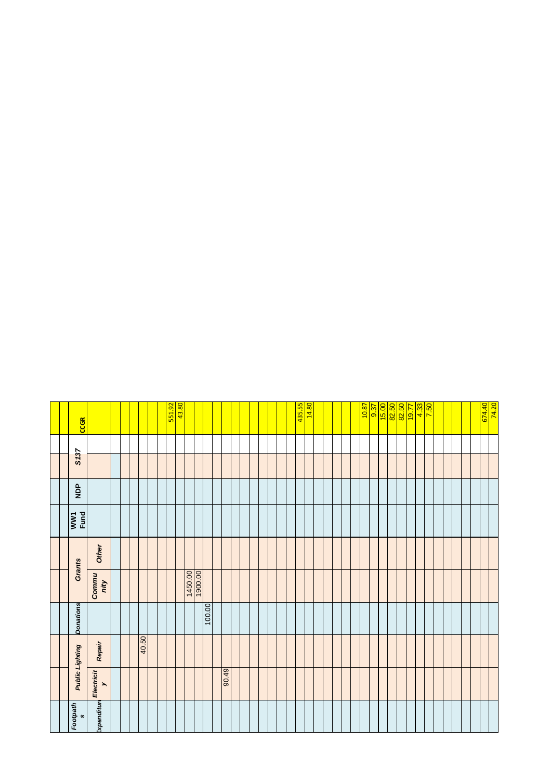| <b>CCGR</b>            |                                        |  |       |  | 551.92 | $\frac{1}{43.80}$ |         |        |       |  |  |  | 435.55 | <b>14.80</b> |  |  | $\frac{10.87}{2}$ | 5.87 |  | <mark>15.00 pm</mark><br><mark>16.00 pm</mark><br><mark>19.00 pm</mark> |  | $\frac{4.33}{7.50}$ |  |  | 674.40 | 74.20 |
|------------------------|----------------------------------------|--|-------|--|--------|-------------------|---------|--------|-------|--|--|--|--------|--------------|--|--|-------------------|------|--|-------------------------------------------------------------------------|--|---------------------|--|--|--------|-------|
| S <sub>137</sub>       |                                        |  |       |  |        |                   |         |        |       |  |  |  |        |              |  |  |                   |      |  |                                                                         |  |                     |  |  |        |       |
|                        |                                        |  |       |  |        |                   |         |        |       |  |  |  |        |              |  |  |                   |      |  |                                                                         |  |                     |  |  |        |       |
| <b>AdM</b>             |                                        |  |       |  |        |                   |         |        |       |  |  |  |        |              |  |  |                   |      |  |                                                                         |  |                     |  |  |        |       |
| WW1<br>Fund            |                                        |  |       |  |        |                   |         |        |       |  |  |  |        |              |  |  |                   |      |  |                                                                         |  |                     |  |  |        |       |
| Grants                 | Other                                  |  |       |  |        |                   |         |        |       |  |  |  |        |              |  |  |                   |      |  |                                                                         |  |                     |  |  |        |       |
|                        | Commu<br>nity                          |  |       |  |        |                   | 1450.00 |        |       |  |  |  |        |              |  |  |                   |      |  |                                                                         |  |                     |  |  |        |       |
| <b>Donations</b>       |                                        |  |       |  |        |                   |         | 100.00 |       |  |  |  |        |              |  |  |                   |      |  |                                                                         |  |                     |  |  |        |       |
| <b>Public Lighting</b> | Repair                                 |  | 40.50 |  |        |                   |         |        |       |  |  |  |        |              |  |  |                   |      |  |                                                                         |  |                     |  |  |        |       |
|                        | Electricit<br>$\overline{\phantom{0}}$ |  |       |  |        |                   |         |        | 67.06 |  |  |  |        |              |  |  |                   |      |  |                                                                         |  |                     |  |  |        |       |
| Footpath<br>$\bullet$  | Expenditur                             |  |       |  |        |                   |         |        |       |  |  |  |        |              |  |  |                   |      |  |                                                                         |  |                     |  |  |        |       |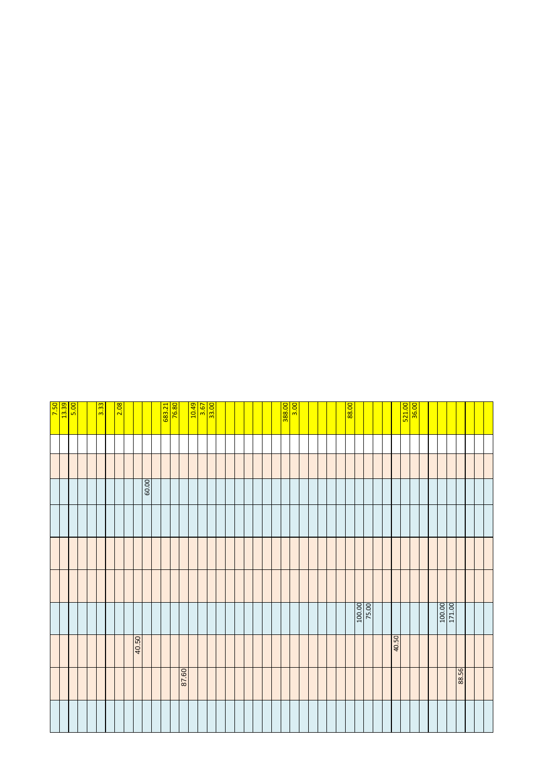|       |       |                        |  |       |  | <mark>7.50</mark><br>13.39 |
|-------|-------|------------------------|--|-------|--|----------------------------|
|       |       |                        |  |       |  |                            |
|       |       |                        |  |       |  | 5.00                       |
|       |       |                        |  |       |  |                            |
|       |       |                        |  |       |  |                            |
|       |       |                        |  |       |  | 3.33                       |
|       |       |                        |  |       |  | 2.08                       |
|       |       |                        |  |       |  |                            |
|       | 40.50 |                        |  |       |  |                            |
|       |       |                        |  | 60.00 |  |                            |
|       |       |                        |  |       |  |                            |
|       |       |                        |  |       |  | 683.21                     |
|       |       |                        |  |       |  | 76.80                      |
| 09.28 |       |                        |  |       |  |                            |
|       |       |                        |  |       |  | $\frac{10.49}{3.67}$       |
|       |       |                        |  |       |  |                            |
|       |       |                        |  |       |  |                            |
|       |       |                        |  |       |  |                            |
|       |       |                        |  |       |  |                            |
|       |       |                        |  |       |  |                            |
|       |       |                        |  |       |  |                            |
|       |       |                        |  |       |  |                            |
|       |       |                        |  |       |  |                            |
|       |       |                        |  |       |  |                            |
|       |       |                        |  |       |  | 38.00<br>3.00              |
|       |       |                        |  |       |  |                            |
|       |       |                        |  |       |  |                            |
|       |       |                        |  |       |  |                            |
|       |       |                        |  |       |  |                            |
|       |       |                        |  |       |  |                            |
|       |       |                        |  |       |  | 88.00                      |
|       |       | $\frac{100.00}{75.00}$ |  |       |  |                            |
|       |       |                        |  |       |  |                            |
|       |       |                        |  |       |  |                            |
|       | 40.50 |                        |  |       |  |                            |
|       |       |                        |  |       |  | 521.00                     |
|       |       |                        |  |       |  | 36.00                      |
|       |       |                        |  |       |  |                            |
|       |       |                        |  |       |  |                            |
|       |       | 171.00<br>100.00       |  |       |  |                            |
| 88.56 |       |                        |  |       |  |                            |
|       |       |                        |  |       |  |                            |
|       |       |                        |  |       |  |                            |
|       |       |                        |  |       |  |                            |
|       |       |                        |  |       |  |                            |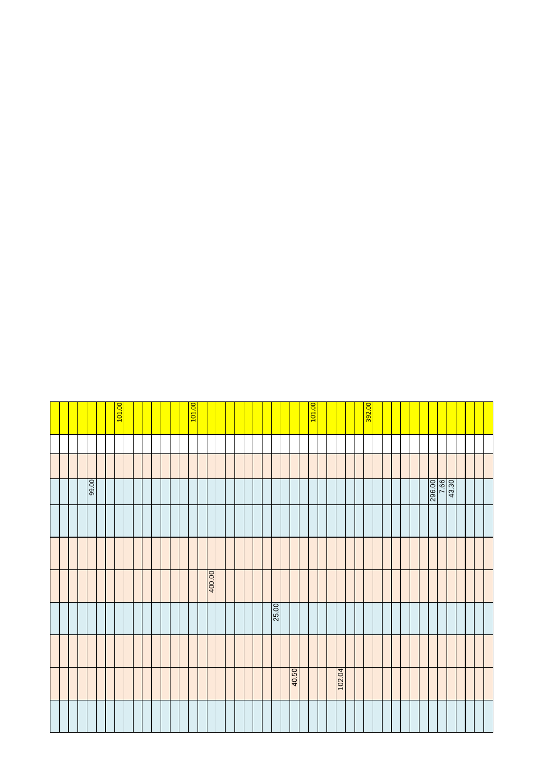|        |       |        |  | 00'66  |  |        |
|--------|-------|--------|--|--------|--|--------|
|        |       |        |  |        |  |        |
|        |       |        |  |        |  |        |
|        |       |        |  |        |  | 101.00 |
|        |       |        |  |        |  |        |
|        |       |        |  |        |  |        |
|        |       |        |  |        |  |        |
|        |       |        |  |        |  |        |
|        |       |        |  |        |  |        |
|        |       |        |  |        |  |        |
|        |       |        |  |        |  | 101.00 |
|        |       | 400.00 |  |        |  |        |
|        |       |        |  |        |  |        |
|        |       |        |  |        |  |        |
|        |       |        |  |        |  |        |
|        |       |        |  |        |  |        |
|        |       |        |  |        |  |        |
|        | 25.00 |        |  |        |  |        |
|        |       |        |  |        |  |        |
| 40.50  |       |        |  |        |  |        |
|        |       |        |  |        |  |        |
|        |       |        |  |        |  | 101.00 |
|        |       |        |  |        |  |        |
| 102.04 |       |        |  |        |  |        |
|        |       |        |  |        |  |        |
|        |       |        |  |        |  | 392.00 |
|        |       |        |  |        |  |        |
|        |       |        |  |        |  |        |
|        |       |        |  |        |  |        |
|        |       |        |  |        |  |        |
|        |       |        |  |        |  |        |
|        |       |        |  |        |  |        |
|        |       |        |  | 296.00 |  |        |
|        |       |        |  |        |  |        |
|        |       |        |  |        |  |        |
|        |       |        |  |        |  |        |
|        |       |        |  |        |  |        |
|        |       |        |  |        |  |        |